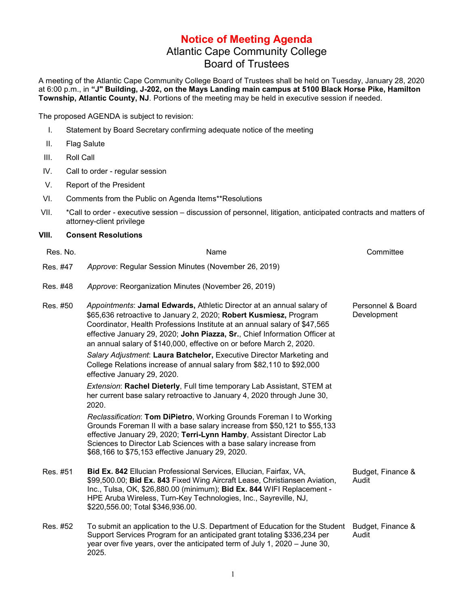## **Notice of Meeting Agenda** Atlantic Cape Community College Board of Trustees

A meeting of the Atlantic Cape Community College Board of Trustees shall be held on Tuesday, January 28, 2020 at 6:00 p.m., in **"J" Building, J-202, on the Mays Landing main campus at 5100 Black Horse Pike, Hamilton Township, Atlantic County, NJ**. Portions of the meeting may be held in executive session if needed.

The proposed AGENDA is subject to revision:

- I. Statement by Board Secretary confirming adequate notice of the meeting
- II. Flag Salute
- III. Roll Call
- IV. Call to order regular session
- V. Report of the President
- VI. Comments from the Public on Agenda Items\*\*Resolutions
- VII. \*Call to order executive session discussion of personnel, litigation, anticipated contracts and matters of attorney-client privilege

## **VIII. Consent Resolutions**

| Res. No. | Name                                                                                                                                                                                                                                                                                                                                                                          | Committee                        |
|----------|-------------------------------------------------------------------------------------------------------------------------------------------------------------------------------------------------------------------------------------------------------------------------------------------------------------------------------------------------------------------------------|----------------------------------|
| Res. #47 | Approve: Regular Session Minutes (November 26, 2019)                                                                                                                                                                                                                                                                                                                          |                                  |
| Res. #48 | Approve: Reorganization Minutes (November 26, 2019)                                                                                                                                                                                                                                                                                                                           |                                  |
| Res. #50 | Appointments: Jamal Edwards, Athletic Director at an annual salary of<br>\$65,636 retroactive to January 2, 2020; Robert Kusmiesz, Program<br>Coordinator, Health Professions Institute at an annual salary of \$47,565<br>effective January 29, 2020; John Piazza, Sr., Chief Information Officer at<br>an annual salary of \$140,000, effective on or before March 2, 2020. | Personnel & Board<br>Development |
|          | Salary Adjustment: Laura Batchelor, Executive Director Marketing and<br>College Relations increase of annual salary from \$82,110 to \$92,000<br>effective January 29, 2020.                                                                                                                                                                                                  |                                  |
|          | Extension: Rachel Dieterly, Full time temporary Lab Assistant, STEM at<br>her current base salary retroactive to January 4, 2020 through June 30,<br>2020.                                                                                                                                                                                                                    |                                  |
|          | Reclassification: Tom DiPietro, Working Grounds Foreman I to Working<br>Grounds Foreman II with a base salary increase from \$50,121 to \$55,133<br>effective January 29, 2020; Terri-Lynn Hamby, Assistant Director Lab<br>Sciences to Director Lab Sciences with a base salary increase from<br>\$68,166 to \$75,153 effective January 29, 2020.                            |                                  |
| Res. #51 | Bid Ex. 842 Ellucian Professional Services, Ellucian, Fairfax, VA,<br>\$99,500.00; Bid Ex. 843 Fixed Wing Aircraft Lease, Christiansen Aviation,<br>Inc., Tulsa, OK, \$26,880.00 (minimum); Bid Ex. 844 WIFI Replacement -<br>HPE Aruba Wireless, Turn-Key Technologies, Inc., Sayreville, NJ,<br>\$220,556.00; Total \$346,936.00.                                           | Budget, Finance &<br>Audit       |
| Res. #52 | To submit an application to the U.S. Department of Education for the Student<br>Support Services Program for an anticipated grant totaling \$336,234 per<br>year over five years, over the anticipated term of July 1, 2020 – June 30,<br>2025.                                                                                                                               | Budget, Finance &<br>Audit       |